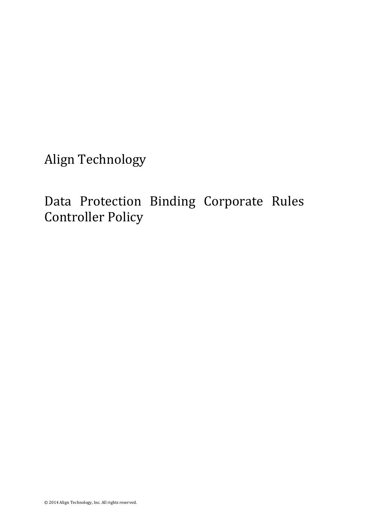Align Technology

Data Protection Binding Corporate Rules Controller Policy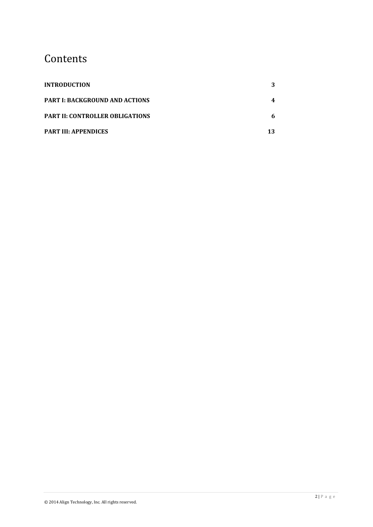# Contents

| <b>INTRODUCTION</b>                    |    |
|----------------------------------------|----|
| <b>PART I: BACKGROUND AND ACTIONS</b>  |    |
| <b>PART II: CONTROLLER OBLIGATIONS</b> |    |
| <b>PART III: APPENDICES</b>            | 13 |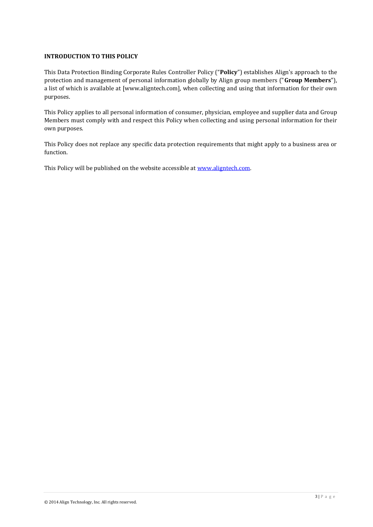# <span id="page-2-0"></span>**INTRODUCTION TO THIS POLICY**

This Data Protection Binding Corporate Rules Controller Policy ("**Policy**") establishes Align's approach to the protection and management of personal information globally by Align group members ("**Group Members**"), a list of which is available at [www.aligntech.com], when collecting and using that information for their own purposes.

This Policy applies to all personal information of consumer, physician, employee and supplier data and Group Members must comply with and respect this Policy when collecting and using personal information for their own purposes.

This Policy does not replace any specific data protection requirements that might apply to a business area or function.

This Policy will be published on the website accessible at www.aligntech.com.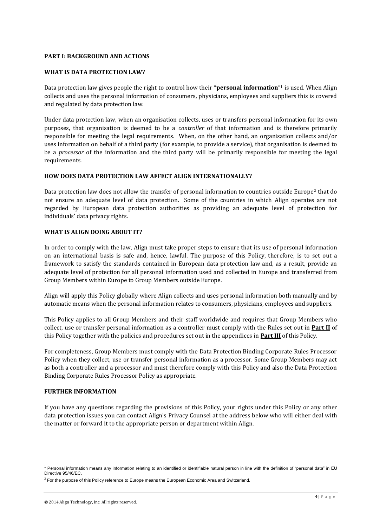### <span id="page-3-0"></span>**PART I: BACKGROUND AND ACTIONS**

### **WHAT IS DATA PROTECTION LAW?**

Data protection law gives people the right to control how their "**personal information**" <sup>1</sup> is used. When Align collects and uses the personal information of consumers, physicians, employees and suppliers this is covered and regulated by data protection law.

Under data protection law, when an organisation collects, uses or transfers personal information for its own purposes, that organisation is deemed to be a *controller* of that information and is therefore primarily responsible for meeting the legal requirements. When, on the other hand, an organisation collects and/or uses information on behalf of a third party (for example, to provide a service), that organisation is deemed to be a *processor* of the information and the third party will be primarily responsible for meeting the legal requirements.

### **HOW DOES DATA PROTECTION LAW AFFECT ALIGN INTERNATIONALLY?**

Data protection law does not allow the transfer of personal information to countries outside Europe<sup>2</sup> that do not ensure an adequate level of data protection. Some of the countries in which Align operates are not regarded by European data protection authorities as providing an adequate level of protection for individuals' data privacy rights.

### **WHAT IS ALIGN DOING ABOUT IT?**

In order to comply with the law, Align must take proper steps to ensure that its use of personal information on an international basis is safe and, hence, lawful. The purpose of this Policy, therefore, is to set out a framework to satisfy the standards contained in European data protection law and, as a result, provide an adequate level of protection for all personal information used and collected in Europe and transferred from Group Members within Europe to Group Members outside Europe.

Align will apply this Policy globally where Align collects and uses personal information both manually and by automatic means when the personal information relates to consumers, physicians, employees and suppliers.

This Policy applies to all Group Members and their staff worldwide and requires that Group Members who collect, use or transfer personal information as a controller must comply with the Rules set out in **Part II** of this Policy together with the policies and procedures set out in the appendices in **Part III** of this Policy.

For completeness, Group Members must comply with the Data Protection Binding Corporate Rules Processor Policy when they collect, use or transfer personal information as a processor. Some Group Members may act as both a controller and a processor and must therefore comply with this Policy and also the Data Protection Binding Corporate Rules Processor Policy as appropriate.

### **FURTHER INFORMATION**

l

If you have any questions regarding the provisions of this Policy, your rights under this Policy or any other data protection issues you can contact Align's Privacy Counsel at the address below who will either deal with the matter or forward it to the appropriate person or department within Align.

<sup>&</sup>lt;sup>1</sup> Personal information means any information relating to an identified or identifiable natural person in line with the definition of "personal data" in EU Directive 95/46/EC.

<sup>&</sup>lt;sup>2</sup> For the purpose of this Policy reference to Europe means the European Economic Area and Switzerland.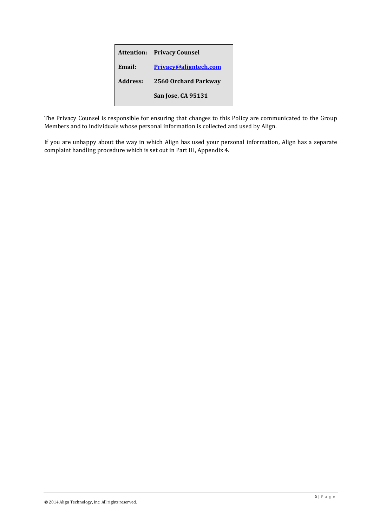|          | <b>Attention: Privacy Counsel</b> |
|----------|-----------------------------------|
| Email:   | Privacy@aligntech.com             |
| Address: | 2560 Orchard Parkway              |
|          | San Jose, CA 95131                |

The Privacy Counsel is responsible for ensuring that changes to this Policy are communicated to the Group Members and to individuals whose personal information is collected and used by Align.

If you are unhappy about the way in which Align has used your personal information, Align has a separate complaint handling procedure which is set out in Part III, Appendix 4.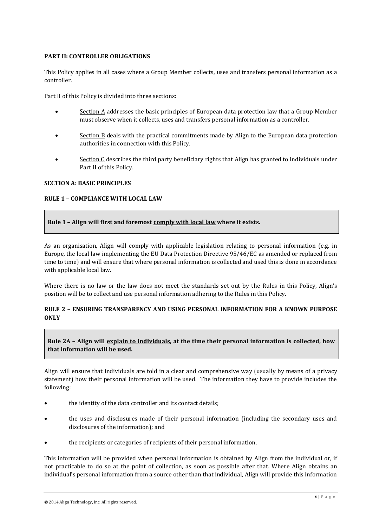### <span id="page-5-0"></span>**PART II: CONTROLLER OBLIGATIONS**

This Policy applies in all cases where a Group Member collects, uses and transfers personal information as a controller.

Part II of this Policy is divided into three sections:

- Section A addresses the basic principles of European data protection law that a Group Member must observe when it collects, uses and transfers personal information as a controller.
- Section B deals with the practical commitments made by Align to the European data protection authorities in connection with this Policy.
- **Section C** describes the third party beneficiary rights that Align has granted to individuals under Part II of this Policy.

### **SECTION A: BASIC PRINCIPLES**

### **RULE 1 – COMPLIANCE WITH LOCAL LAW**

### **Rule 1 – Align will first and foremost comply with local law where it exists.**

As an organisation, Align will comply with applicable legislation relating to personal information (e.g. in Europe, the local law implementing the EU Data Protection Directive 95/46/EC as amended or replaced from time to time) and will ensure that where personal information is collected and used this is done in accordance with applicable local law.

Where there is no law or the law does not meet the standards set out by the Rules in this Policy, Align's position will be to collect and use personal information adhering to the Rules in this Policy.

### **RULE 2 – ENSURING TRANSPARENCY AND USING PERSONAL INFORMATION FOR A KNOWN PURPOSE ONLY**

# **Rule 2A – Align will explain to individuals, at the time their personal information is collected, how that information will be used.**

Align will ensure that individuals are told in a clear and comprehensive way (usually by means of a privacy statement) how their personal information will be used. The information they have to provide includes the following:

- the identity of the data controller and its contact details;
- the uses and disclosures made of their personal information (including the secondary uses and disclosures of the information); and
- the recipients or categories of recipients of their personal information.

This information will be provided when personal information is obtained by Align from the individual or, if not practicable to do so at the point of collection, as soon as possible after that. Where Align obtains an individual's personal information from a source other than that individual, Align will provide this information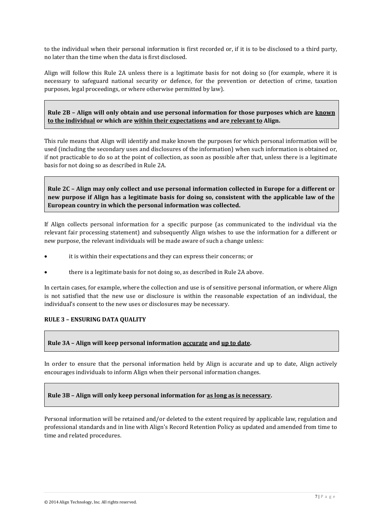to the individual when their personal information is first recorded or, if it is to be disclosed to a third party, no later than the time when the data is first disclosed.

Align will follow this Rule 2A unless there is a legitimate basis for not doing so (for example, where it is necessary to safeguard national security or defence, for the prevention or detection of crime, taxation purposes, legal proceedings, or where otherwise permitted by law).

**Rule 2B – Align will only obtain and use personal information for those purposes which are known to the individual or which are within their expectations and are relevant to Align.**

This rule means that Align will identify and make known the purposes for which personal information will be used (including the secondary uses and disclosures of the information) when such information is obtained or, if not practicable to do so at the point of collection, as soon as possible after that, unless there is a legitimate basis for not doing so as described in Rule 2A.

**Rule 2C – Align may only collect and use personal information collected in Europe for a different or new purpose if Align has a legitimate basis for doing so, consistent with the applicable law of the European country in which the personal information was collected.**

If Align collects personal information for a specific purpose (as communicated to the individual via the relevant fair processing statement) and subsequently Align wishes to use the information for a different or new purpose, the relevant individuals will be made aware of such a change unless:

- it is within their expectations and they can express their concerns; or
- there is a legitimate basis for not doing so, as described in Rule 2A above.

In certain cases, for example, where the collection and use is of sensitive personal information, or where Align is not satisfied that the new use or disclosure is within the reasonable expectation of an individual, the individual's consent to the new uses or disclosures may be necessary.

### **RULE 3 – ENSURING DATA QUALITY**

### **Rule 3A – Align will keep personal information accurate and up to date.**

In order to ensure that the personal information held by Align is accurate and up to date, Align actively encourages individuals to inform Align when their personal information changes.

### **Rule 3B – Align will only keep personal information for as long as is necessary.**

Personal information will be retained and/or deleted to the extent required by applicable law, regulation and professional standards and in line with Align's Record Retention Policy as updated and amended from time to time and related procedures.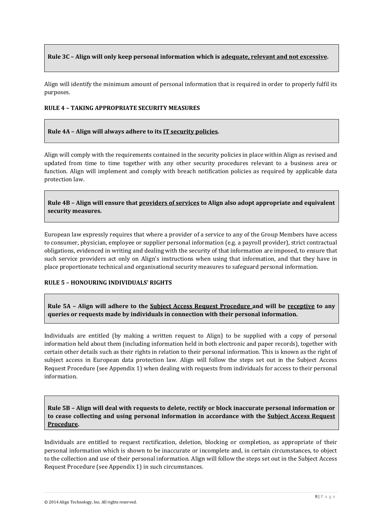# **Rule 3C – Align will only keep personal information which is adequate, relevant and not excessive.**

Align will identify the minimum amount of personal information that is required in order to properly fulfil its purposes.

### **RULE 4 – TAKING APPROPRIATE SECURITY MEASURES**

### **Rule 4A – Align will always adhere to its IT security policies.**

Align will comply with the requirements contained in the security policies in place within Align as revised and updated from time to time together with any other security procedures relevant to a business area or function. Align will implement and comply with breach notification policies as required by applicable data protection law.

**Rule 4B – Align will ensure that providers of services to Align also adopt appropriate and equivalent security measures.**

European law expressly requires that where a provider of a service to any of the Group Members have access to consumer, physician, employee or supplier personal information (e.g. a payroll provider), strict contractual obligations, evidenced in writing and dealing with the security of that information are imposed, to ensure that such service providers act only on Align's instructions when using that information, and that they have in place proportionate technical and organisational security measures to safeguard personal information.

### **RULE 5 – HONOURING INDIVIDUALS' RIGHTS**

**Rule 5A – Align will adhere to the Subject Access Request Procedure and will be receptive to any queries or requests made by individuals in connection with their personal information.**

Individuals are entitled (by making a written request to Align) to be supplied with a copy of personal information held about them (including information held in both electronic and paper records), together with certain other details such as their rights in relation to their personal information. This is known as the right of subject access in European data protection law. Align will follow the steps set out in the Subject Access Request Procedure (see Appendix 1) when dealing with requests from individuals for access to their personal information.

**Rule 5B – Align will deal with requests to delete, rectify or block inaccurate personal information or to cease collecting and using personal information in accordance with the Subject Access Request Procedure.**

Individuals are entitled to request rectification, deletion, blocking or completion, as appropriate of their personal information which is shown to be inaccurate or incomplete and, in certain circumstances, to object to the collection and use of their personal information. Align will follow the steps set out in the Subject Access Request Procedure (see Appendix 1) in such circumstances.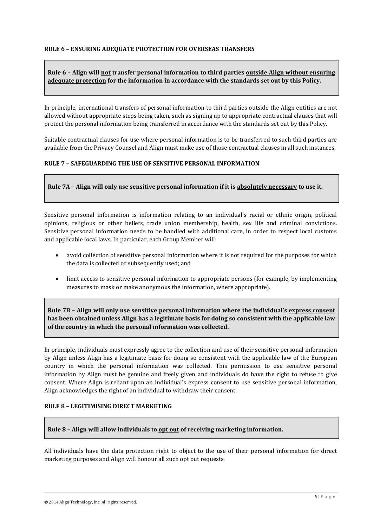### **Rule 6 – Align will not transfer personal information to third parties outside Align without ensuring adequate protection for the information in accordance with the standards set out by this Policy.**

In principle, international transfers of personal information to third parties outside the Align entities are not allowed without appropriate steps being taken, such as signing up to appropriate contractual clauses that will protect the personal information being transferred in accordance with the standards set out by this Policy.

Suitable contractual clauses for use where personal information is to be transferred to such third parties are available from the Privacy Counsel and Align must make use of those contractual clauses in all such instances.

### **RULE 7 – SAFEGUARDING THE USE OF SENSITIVE PERSONAL INFORMATION**

### **Rule 7A – Align will only use sensitive personal information if it is absolutely necessary to use it.**

Sensitive personal information is information relating to an individual's racial or ethnic origin, political opinions, religious or other beliefs, trade union membership, health, sex life and criminal convictions. Sensitive personal information needs to be handled with additional care, in order to respect local customs and applicable local laws. In particular, each Group Member will:

- avoid collection of sensitive personal information where it is not required for the purposes for which the data is collected or subsequently used; and
- limit access to sensitive personal information to appropriate persons (for example, by implementing measures to mask or make anonymous the information, where appropriate).

**Rule 7B – Align will only use sensitive personal information where the individual's express consent has been obtained unless Align has a legitimate basis for doing so consistent with the applicable law of the country in which the personal information was collected.**

In principle, individuals must expressly agree to the collection and use of their sensitive personal information by Align unless Align has a legitimate basis for doing so consistent with the applicable law of the European country in which the personal information was collected. This permission to use sensitive personal information by Align must be genuine and freely given and individuals do have the right to refuse to give consent. Where Align is reliant upon an individual's express consent to use sensitive personal information, Align acknowledges the right of an individual to withdraw their consent.

### **RULE 8 – LEGITIMISING DIRECT MARKETING**

**Rule 8 – Align will allow individuals to opt out of receiving marketing information.**

All individuals have the data protection right to object to the use of their personal information for direct marketing purposes and Align will honour all such opt out requests.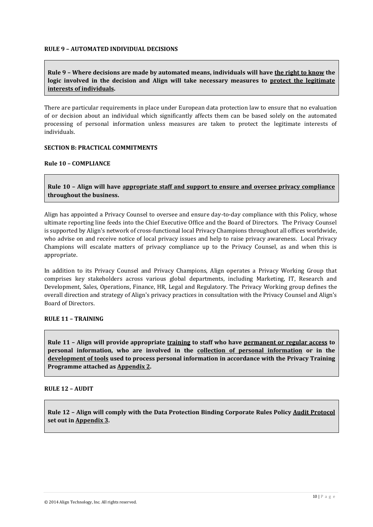### **RULE 9 – AUTOMATED INDIVIDUAL DECISIONS**

# **Rule 9 – Where decisions are made by automated means, individuals will have the right to know the logic involved in the decision and Align will take necessary measures to protect the legitimate interests of individuals.**

There are particular requirements in place under European data protection law to ensure that no evaluation of or decision about an individual which significantly affects them can be based solely on the automated processing of personal information unless measures are taken to protect the legitimate interests of individuals.

### **SECTION B: PRACTICAL COMMITMENTS**

### **Rule 10 – COMPLIANCE**

**Rule 10 – Align will have appropriate staff and support to ensure and oversee privacy compliance throughout the business.**

Align has appointed a Privacy Counsel to oversee and ensure day-to-day compliance with this Policy, whose ultimate reporting line feeds into the Chief Executive Office and the Board of Directors. The Privacy Counsel is supported by Align's network of cross-functional local Privacy Champions throughout all offices worldwide, who advise on and receive notice of local privacy issues and help to raise privacy awareness. Local Privacy Champions will escalate matters of privacy compliance up to the Privacy Counsel, as and when this is appropriate.

In addition to its Privacy Counsel and Privacy Champions, Align operates a Privacy Working Group that comprises key stakeholders across various global departments, including Marketing, IT, Research and Development, Sales, Operations, Finance, HR, Legal and Regulatory. The Privacy Working group defines the overall direction and strategy of Align's privacy practices in consultation with the Privacy Counsel and Align's Board of Directors.

# **RULE 11 – TRAINING**

**Rule 11 – Align will provide appropriate training to staff who have permanent or regular access to personal information, who are involved in the collection of personal information or in the development of tools used to process personal information in accordance with the Privacy Training Programme attached as Appendix 2.**

# **RULE 12 – AUDIT**

**Rule 12 – Align will comply with the Data Protection Binding Corporate Rules Policy Audit Protocol set out in Appendix 3.**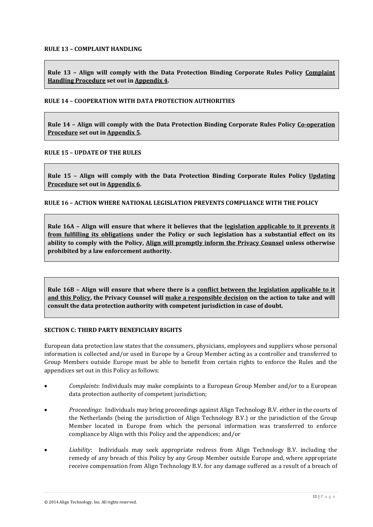**Rule 13 – Align will comply with the Data Protection Binding Corporate Rules Policy Complaint Handling Procedure set out in Appendix 4.**

### **RULE 14 – COOPERATION WITH DATA PROTECTION AUTHORITIES**

**Rule 14 – Align will comply with the Data Protection Binding Corporate Rules Policy Co-operation Procedure set out in Appendix 5.**

### **RULE 15 – UPDATE OF THE RULES**

**Rule 15 – Align will comply with the Data Protection Binding Corporate Rules Policy Updating Procedure set out in Appendix 6.**

### **RULE 16 – ACTION WHERE NATIONAL LEGISLATION PREVENTS COMPLIANCE WITH THE POLICY**

**Rule 16A – Align will ensure that where it believes that the legislation applicable to it prevents it from fulfilling its obligations under the Policy or such legislation has a substantial effect on its ability to comply with the Policy, Align will promptly inform the Privacy Counsel unless otherwise prohibited by a law enforcement authority.**

**Rule 16B – Align will ensure that where there is a conflict between the legislation applicable to it and this Policy, the Privacy Counsel will make a responsible decision on the action to take and will consult the data protection authority with competent jurisdiction in case of doubt.**

### **SECTION C: THIRD PARTY BENEFICIARY RIGHTS**

European data protection law states that the consumers, physicians, employees and suppliers whose personal information is collected and/or used in Europe by a Group Member acting as a controller and transferred to Group Members outside Europe must be able to benefit from certain rights to enforce the Rules and the appendices set out in this Policy as follows:

- *Complaints*: Individuals may make complaints to a European Group Member and/or to a European data protection authority of competent jurisdiction;
- *Proceedings*: Individuals may bring proceedings against Align Technology B.V. either in the courts of the Netherlands (being the jurisdiction of Align Technology B.V.) or the jurisdiction of the Group Member located in Europe from which the personal information was transferred to enforce compliance by Align with this Policy and the appendices; and/or
- *Liability*: Individuals may seek appropriate redress from Align Technology B.V. including the remedy of any breach of this Policy by any Group Member outside Europe and, where appropriate receive compensation from Align Technology B.V. for any damage suffered as a result of a breach of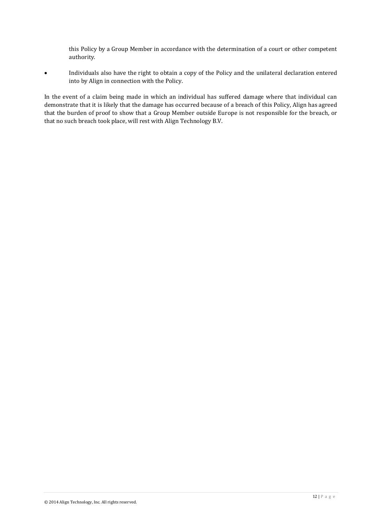this Policy by a Group Member in accordance with the determination of a court or other competent authority.

 Individuals also have the right to obtain a copy of the Policy and the unilateral declaration entered into by Align in connection with the Policy.

In the event of a claim being made in which an individual has suffered damage where that individual can demonstrate that it is likely that the damage has occurred because of a breach of this Policy, Align has agreed that the burden of proof to show that a Group Member outside Europe is not responsible for the breach, or that no such breach took place, will rest with Align Technology B.V.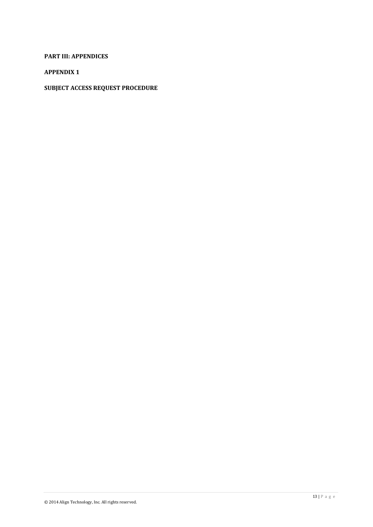# <span id="page-12-0"></span>**PART III: APPENDICES**

# **APPENDIX 1**

# **SUBJECT ACCESS REQUEST PROCEDURE**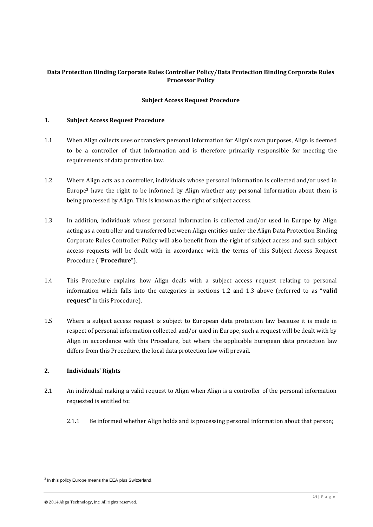# **Data Protection Binding Corporate Rules Controller Policy/Data Protection Binding Corporate Rules Processor Policy**

### **Subject Access Request Procedure**

### **1. Subject Access Request Procedure**

- 1.1 When Align collects uses or transfers personal information for Align's own purposes, Align is deemed to be a controller of that information and is therefore primarily responsible for meeting the requirements of data protection law.
- 1.2 Where Align acts as a controller, individuals whose personal information is collected and/or used in Europe<sup>3</sup> have the right to be informed by Align whether any personal information about them is being processed by Align. This is known as the right of subject access.
- 1.3 In addition, individuals whose personal information is collected and/or used in Europe by Align acting as a controller and transferred between Align entities under the Align Data Protection Binding Corporate Rules Controller Policy will also benefit from the right of subject access and such subject access requests will be dealt with in accordance with the terms of this Subject Access Request Procedure ("**Procedure**").
- 1.4 This Procedure explains how Align deals with a subject access request relating to personal information which falls into the categories in sections 1.2 and 1.3 above (referred to as "**valid request**" in this Procedure).
- 1.5 Where a subject access request is subject to European data protection law because it is made in respect of personal information collected and/or used in Europe, such a request will be dealt with by Align in accordance with this Procedure, but where the applicable European data protection law differs from this Procedure, the local data protection law will prevail.

### **2. Individuals' Rights**

- 2.1 An individual making a valid request to Align when Align is a controller of the personal information requested is entitled to:
	- 2.1.1 Be informed whether Align holds and is processing personal information about that person;

 $\overline{a}$ 

<sup>&</sup>lt;sup>3</sup> In this policy Europe means the EEA plus Switzerland.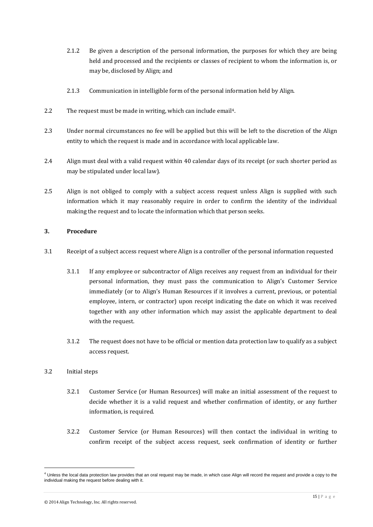- 2.1.2 Be given a description of the personal information, the purposes for which they are being held and processed and the recipients or classes of recipient to whom the information is, or may be, disclosed by Align; and
- 2.1.3 Communication in intelligible form of the personal information held by Align.
- 2.2 The request must be made in writing, which can include email<sup>4</sup>.
- 2.3 Under normal circumstances no fee will be applied but this will be left to the discretion of the Align entity to which the request is made and in accordance with local applicable law.
- 2.4 Align must deal with a valid request within 40 calendar days of its receipt (or such shorter period as may be stipulated under local law).
- 2.5 Align is not obliged to comply with a subject access request unless Align is supplied with such information which it may reasonably require in order to confirm the identity of the individual making the request and to locate the information which that person seeks.

### **3. Procedure**

- 3.1 Receipt of a subject access request where Align is a controller of the personal information requested
	- 3.1.1 If any employee or subcontractor of Align receives any request from an individual for their personal information, they must pass the communication to Align's Customer Service immediately (or to Align's Human Resources if it involves a current, previous, or potential employee, intern, or contractor) upon receipt indicating the date on which it was received together with any other information which may assist the applicable department to deal with the request.
	- 3.1.2 The request does not have to be official or mention data protection law to qualify as a subject access request.

### 3.2 Initial steps

l

- 3.2.1 Customer Service (or Human Resources) will make an initial assessment of the request to decide whether it is a valid request and whether confirmation of identity, or any further information, is required.
- 3.2.2 Customer Service (or Human Resources) will then contact the individual in writing to confirm receipt of the subject access request, seek confirmation of identity or further

 $^4$  Unless the local data protection law provides that an oral request may be made, in which case Align will record the request and provide a copy to the individual making the request before dealing with it.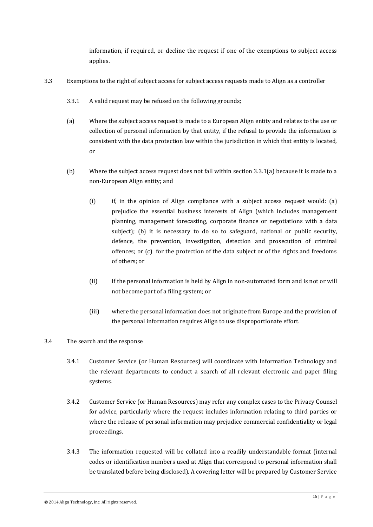information, if required, or decline the request if one of the exemptions to subject access applies.

- 3.3 Exemptions to the right of subject access for subject access requests made to Align as a controller
	- 3.3.1 A valid request may be refused on the following grounds;
	- (a) Where the subject access request is made to a European Align entity and relates to the use or collection of personal information by that entity, if the refusal to provide the information is consistent with the data protection law within the jurisdiction in which that entity is located, or
	- (b) Where the subject access request does not fall within section 3.3.1(a) because it is made to a non-European Align entity; and
		- (i) if, in the opinion of Align compliance with a subject access request would: (a) prejudice the essential business interests of Align (which includes management planning, management forecasting, corporate finance or negotiations with a data subject); (b) it is necessary to do so to safeguard, national or public security, defence, the prevention, investigation, detection and prosecution of criminal offences; or (c) for the protection of the data subject or of the rights and freedoms of others; or
		- (ii) if the personal information is held by Align in non-automated form and is not or will not become part of a filing system; or
		- (iii) where the personal information does not originate from Europe and the provision of the personal information requires Align to use disproportionate effort.
- 3.4 The search and the response
	- 3.4.1 Customer Service (or Human Resources) will coordinate with Information Technology and the relevant departments to conduct a search of all relevant electronic and paper filing systems.
	- 3.4.2 Customer Service (or Human Resources) may refer any complex cases to the Privacy Counsel for advice, particularly where the request includes information relating to third parties or where the release of personal information may prejudice commercial confidentiality or legal proceedings.
	- 3.4.3 The information requested will be collated into a readily understandable format (internal codes or identification numbers used at Align that correspond to personal information shall be translated before being disclosed). A covering letter will be prepared by Customer Service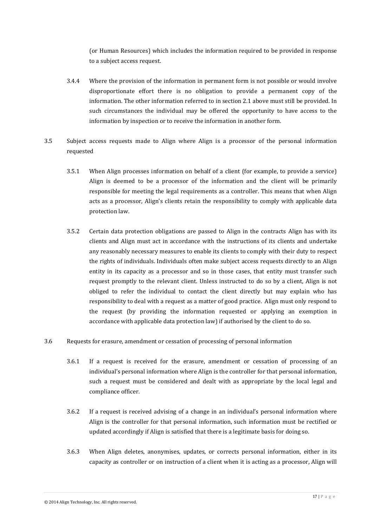(or Human Resources) which includes the information required to be provided in response to a subject access request.

- 3.4.4 Where the provision of the information in permanent form is not possible or would involve disproportionate effort there is no obligation to provide a permanent copy of the information. The other information referred to in section 2.1 above must still be provided. In such circumstances the individual may be offered the opportunity to have access to the information by inspection or to receive the information in another form.
- 3.5 Subject access requests made to Align where Align is a processor of the personal information requested
	- 3.5.1 When Align processes information on behalf of a client (for example, to provide a service) Align is deemed to be a processor of the information and the client will be primarily responsible for meeting the legal requirements as a controller. This means that when Align acts as a processor, Align's clients retain the responsibility to comply with applicable data protection law.
	- 3.5.2 Certain data protection obligations are passed to Align in the contracts Align has with its clients and Align must act in accordance with the instructions of its clients and undertake any reasonably necessary measures to enable its clients to comply with their duty to respect the rights of individuals. Individuals often make subject access requests directly to an Align entity in its capacity as a processor and so in those cases, that entity must transfer such request promptly to the relevant client. Unless instructed to do so by a client, Align is not obliged to refer the individual to contact the client directly but may explain who has responsibility to deal with a request as a matter of good practice. Align must only respond to the request (by providing the information requested or applying an exemption in accordance with applicable data protection law) if authorised by the client to do so.
- 3.6 Requests for erasure, amendment or cessation of processing of personal information
	- 3.6.1 If a request is received for the erasure, amendment or cessation of processing of an individual's personal information where Align is the controller for that personal information, such a request must be considered and dealt with as appropriate by the local legal and compliance officer.
	- 3.6.2 If a request is received advising of a change in an individual's personal information where Align is the controller for that personal information, such information must be rectified or updated accordingly if Align is satisfied that there is a legitimate basis for doing so.
	- 3.6.3 When Align deletes, anonymises, updates, or corrects personal information, either in its capacity as controller or on instruction of a client when it is acting as a processor, Align will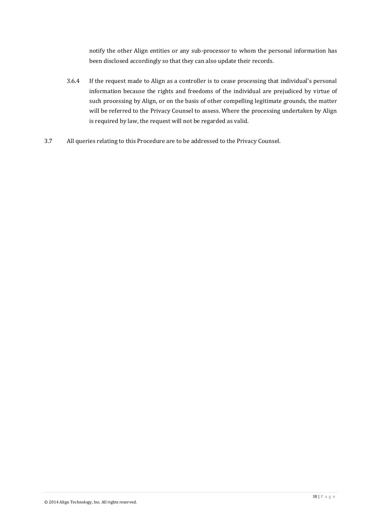notify the other Align entities or any sub-processor to whom the personal information has been disclosed accordingly so that they can also update their records.

- 3.6.4 If the request made to Align as a controller is to cease processing that individual's personal information because the rights and freedoms of the individual are prejudiced by virtue of such processing by Align, or on the basis of other compelling legitimate grounds, the matter will be referred to the Privacy Counsel to assess. Where the processing undertaken by Align is required by law, the request will not be regarded as valid.
- 3.7 All queries relating to this Procedure are to be addressed to the Privacy Counsel.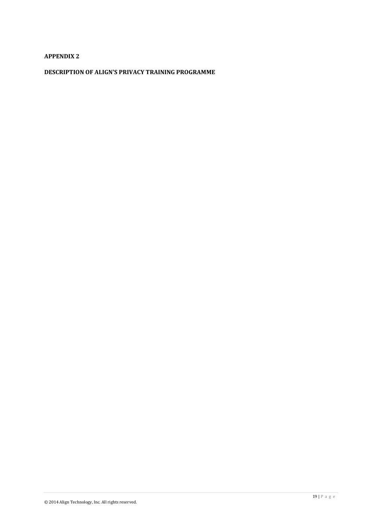# **APPENDIX 2**

# **DESCRIPTION OF ALIGN'S PRIVACY TRAINING PROGRAMME**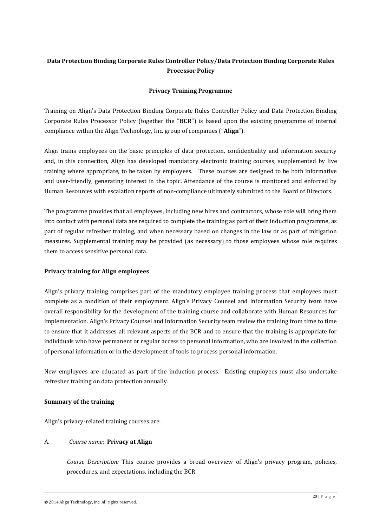# **Data Protection Binding Corporate Rules Controller Policy/Data Protection Binding Corporate Rules Processor Policy**

# **Privacy Training Programme**

Training on Align's Data Protection Binding Corporate Rules Controller Policy and Data Protection Binding Corporate Rules Processor Policy (together the "**BCR**") is based upon the existing programme of internal compliance within the Align Technology, Inc. group of companies ("**Align**").

Align trains employees on the basic principles of data protection, confidentiality and information security and, in this connection, Align has developed mandatory electronic training courses, supplemented by live training where appropriate, to be taken by employees. These courses are designed to be both informative and user-friendly, generating interest in the topic. Attendance of the course is monitored and enforced by Human Resources with escalation reports of non-compliance ultimately submitted to the Board of Directors.

The programme provides that all employees, including new hires and contractors, whose role will bring them into contact with personal data are required to complete the training as part of their induction programme, as part of regular refresher training, and when necessary based on changes in the law or as part of mitigation measures. Supplemental training may be provided (as necessary) to those employees whose role requires them to access sensitive personal data.

### **Privacy training for Align employees**

Align's privacy training comprises part of the mandatory employee training process that employees must complete as a condition of their employment. Align's Privacy Counsel and Information Security team have overall responsibility for the development of the training course and collaborate with Human Resources for implementation. Align's Privacy Counsel and Information Security team review the training from time to time to ensure that it addresses all relevant aspects of the BCR and to ensure that the training is appropriate for individuals who have permanent or regular access to personal information, who are involved in the collection of personal information or in the development of tools to process personal information.

New employees are educated as part of the induction process. Existing employees must also undertake refresher training on data protection annually.

### **Summary of the training**

Align's privacy-related training courses are:

### A. *Course name:* **Privacy at Align**

*Course Description:* This course provides a broad overview of Align's privacy program, policies, procedures, and expectations, including the BCR.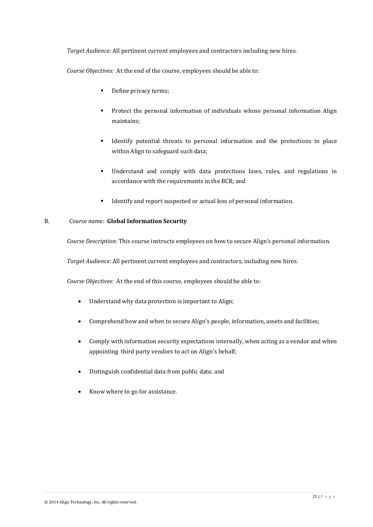*Target Audience:* All pertinent current employees and contractors including new hires.

*Course Objectives:* At the end of the course, employees should be able to:

- Define privacy terms;
- Protect the personal information of individuals whose personal information Align maintains;
- Identify potential threats to personal information and the protections in place within Align to safeguard such data;
- Understand and comply with data protections laws, rules, and regulations in accordance with the requirements in the BCR; and
- Identify and report suspected or actual loss of personal information.

### B. *Course name:* **Global Information Security**

*Course Description:* This course instructs employees on how to secure Align's personal information.

*Target Audience:* All pertinent current employees and contractors, including new hires.

*Course Objectives:* At the end of this course, employees should be able to:

- Understand why data protection is important to Align;
- Comprehend how and when to secure Align's people, information, assets and facilities;
- Comply with information security expectations internally, when acting as a vendor and when appointing third party vendors to act on Align's behalf;
- Distinguish confidential data from public data; and
- Know where to go for assistance.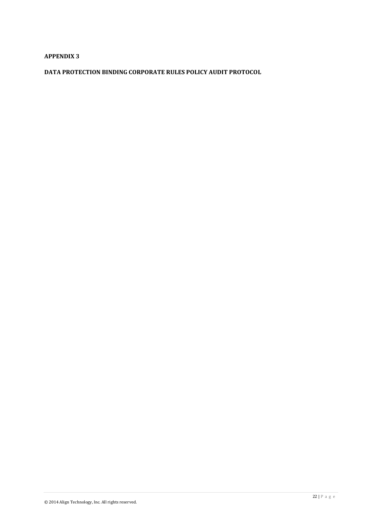# **APPENDIX 3**

**DATA PROTECTION BINDING CORPORATE RULES POLICY AUDIT PROTOCOL**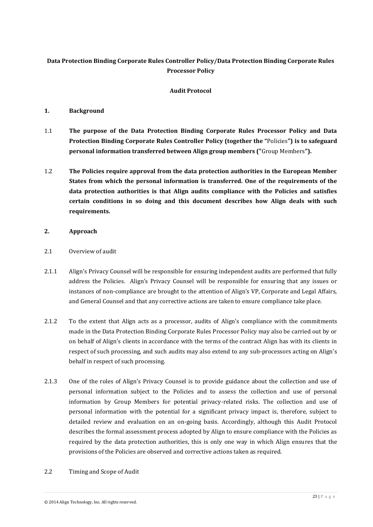# **Data Protection Binding Corporate Rules Controller Policy/Data Protection Binding Corporate Rules Processor Policy**

# **Audit Protocol**

# **1. Background**

- 1.1 **The purpose of the Data Protection Binding Corporate Rules Processor Policy and Data Protection Binding Corporate Rules Controller Policy (together the "**Policies**") is to safeguard personal information transferred between Align group members ("**Group Members**").**
- 1.2 **The Policies require approval from the data protection authorities in the European Member States from which the personal information is transferred. One of the requirements of the data protection authorities is that Align audits compliance with the Policies and satisfies certain conditions in so doing and this document describes how Align deals with such requirements.**

# **2. Approach**

- 2.1 Overview of audit
- 2.1.1 Align's Privacy Counsel will be responsible for ensuring independent audits are performed that fully address the Policies. Align's Privacy Counsel will be responsible for ensuring that any issues or instances of non-compliance are brought to the attention of Align's VP, Corporate and Legal Affairs, and General Counsel and that any corrective actions are taken to ensure compliance take place.
- 2.1.2 To the extent that Align acts as a processor, audits of Align's compliance with the commitments made in the Data Protection Binding Corporate Rules Processor Policy may also be carried out by or on behalf of Align's clients in accordance with the terms of the contract Align has with its clients in respect of such processing, and such audits may also extend to any sub-processors acting on Align's behalf in respect of such processing.
- 2.1.3 One of the roles of Align's Privacy Counsel is to provide guidance about the collection and use of personal information subject to the Policies and to assess the collection and use of personal information by Group Members for potential privacy-related risks. The collection and use of personal information with the potential for a significant privacy impact is, therefore, subject to detailed review and evaluation on an on-going basis. Accordingly, although this Audit Protocol describes the formal assessment process adopted by Align to ensure compliance with the Policies as required by the data protection authorities, this is only one way in which Align ensures that the provisions of the Policies are observed and corrective actions taken as required.
- 2.2 Timing and Scope of Audit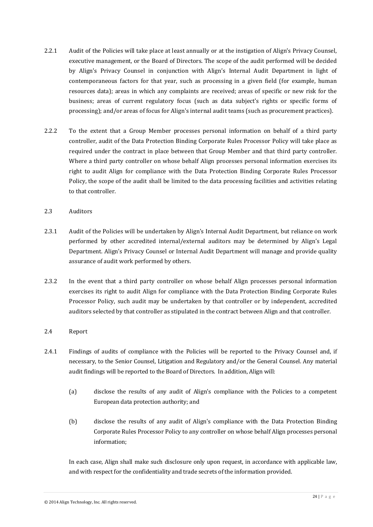- 2.2.1 Audit of the Policies will take place at least annually or at the instigation of Align's Privacy Counsel, executive management, or the Board of Directors. The scope of the audit performed will be decided by Align's Privacy Counsel in conjunction with Align's Internal Audit Department in light of contemporaneous factors for that year, such as processing in a given field (for example, human resources data); areas in which any complaints are received; areas of specific or new risk for the business; areas of current regulatory focus (such as data subject's rights or specific forms of processing); and/or areas of focus for Align's internal audit teams (such as procurement practices).
- 2.2.2 To the extent that a Group Member processes personal information on behalf of a third party controller, audit of the Data Protection Binding Corporate Rules Processor Policy will take place as required under the contract in place between that Group Member and that third party controller. Where a third party controller on whose behalf Align processes personal information exercises its right to audit Align for compliance with the Data Protection Binding Corporate Rules Processor Policy, the scope of the audit shall be limited to the data processing facilities and activities relating to that controller.
- 2.3 Auditors
- 2.3.1 Audit of the Policies will be undertaken by Align's Internal Audit Department, but reliance on work performed by other accredited internal/external auditors may be determined by Align's Legal Department. Align's Privacy Counsel or Internal Audit Department will manage and provide quality assurance of audit work performed by others.
- 2.3.2 In the event that a third party controller on whose behalf Align processes personal information exercises its right to audit Align for compliance with the Data Protection Binding Corporate Rules Processor Policy, such audit may be undertaken by that controller or by independent, accredited auditors selected by that controller as stipulated in the contract between Align and that controller.
- 2.4 Report
- 2.4.1 Findings of audits of compliance with the Policies will be reported to the Privacy Counsel and, if necessary, to the Senior Counsel, Litigation and Regulatory and/or the General Counsel. Any material audit findings will be reported to the Board of Directors. In addition, Align will:
	- (a) disclose the results of any audit of Align's compliance with the Policies to a competent European data protection authority; and
	- (b) disclose the results of any audit of Align's compliance with the Data Protection Binding Corporate Rules Processor Policy to any controller on whose behalf Align processes personal information;

In each case, Align shall make such disclosure only upon request, in accordance with applicable law, and with respect for the confidentiality and trade secrets of the information provided.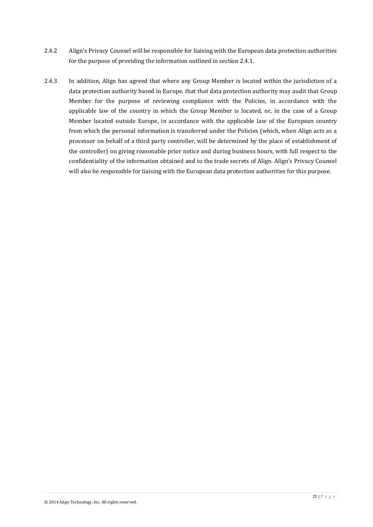- 2.4.2 Align's Privacy Counsel will be responsible for liaising with the European data protection authorities for the purpose of providing the information outlined in section 2.4.1.
- 2.4.3 In addition, Align has agreed that where any Group Member is located within the jurisdiction of a data protection authority based in Europe, that that data protection authority may audit that Group Member for the purpose of reviewing compliance with the Policies, in accordance with the applicable law of the country in which the Group Member is located, or, in the case of a Group Member located outside Europe, in accordance with the applicable law of the European country from which the personal information is transferred under the Policies (which, when Align acts as a processor on behalf of a third party controller, will be determined by the place of establishment of the controller) on giving reasonable prior notice and during business hours, with full respect to the confidentiality of the information obtained and to the trade secrets of Align. Align's Privacy Counsel will also be responsible for liaising with the European data protection authorities for this purpose.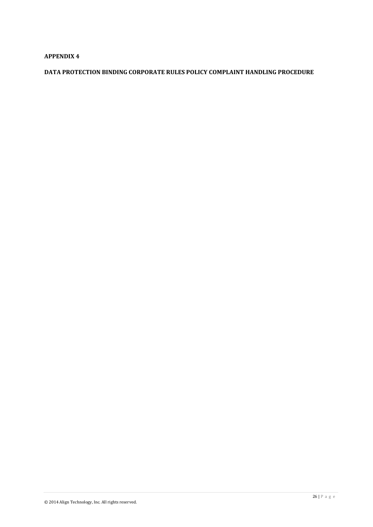# **APPENDIX 4**

# **DATA PROTECTION BINDING CORPORATE RULES POLICY COMPLAINT HANDLING PROCEDURE**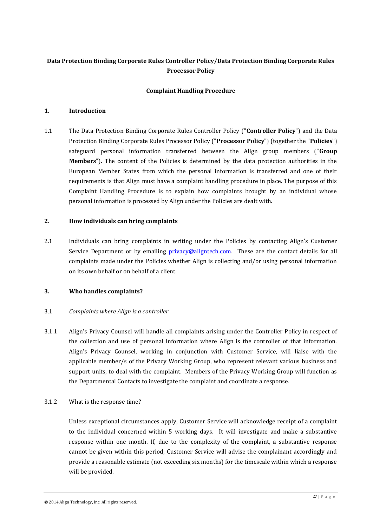# **Data Protection Binding Corporate Rules Controller Policy/Data Protection Binding Corporate Rules Processor Policy**

# **Complaint Handling Procedure**

### **1. Introduction**

1.1 The Data Protection Binding Corporate Rules Controller Policy ("**Controller Policy**") and the Data Protection Binding Corporate Rules Processor Policy ("**Processor Policy**") (together the "**Policies**") safeguard personal information transferred between the Align group members ("**Group Members**"). The content of the Policies is determined by the data protection authorities in the European Member States from which the personal information is transferred and one of their requirements is that Align must have a complaint handling procedure in place. The purpose of this Complaint Handling Procedure is to explain how complaints brought by an individual whose personal information is processed by Align under the Policies are dealt with.

### **2. How individuals can bring complaints**

2.1 Individuals can bring complaints in writing under the Policies by contacting Align's Customer Service Department or by emailing [privacy@aligntech.com.](mailto:privacy@aligntech.com) These are the contact details for all complaints made under the Policies whether Align is collecting and/or using personal information on its own behalf or on behalf of a client.

# **3. Who handles complaints?**

# 3.1 *Complaints where Align is a controller*

3.1.1 Align's Privacy Counsel will handle all complaints arising under the Controller Policy in respect of the collection and use of personal information where Align is the controller of that information. Align's Privacy Counsel, working in conjunction with Customer Service, will liaise with the applicable member/s of the Privacy Working Group, who represent relevant various business and support units, to deal with the complaint. Members of the Privacy Working Group will function as the Departmental Contacts to investigate the complaint and coordinate a response.

# 3.1.2 What is the response time?

Unless exceptional circumstances apply, Customer Service will acknowledge receipt of a complaint to the individual concerned within 5 working days. It will investigate and make a substantive response within one month. If, due to the complexity of the complaint, a substantive response cannot be given within this period, Customer Service will advise the complainant accordingly and provide a reasonable estimate (not exceeding six months) for the timescale within which a response will be provided.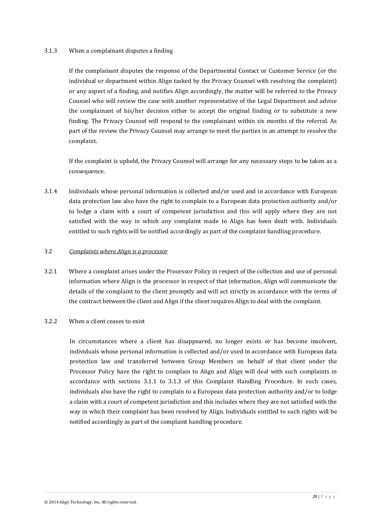### 3.1.3 When a complainant disputes a finding

If the complainant disputes the response of the Departmental Contact or Customer Service (or the individual or department within Align tasked by the Privacy Counsel with resolving the complaint) or any aspect of a finding, and notifies Align accordingly, the matter will be referred to the Privacy Counsel who will review the case with another representative of the Legal Department and advise the complainant of his/her decision either to accept the original finding or to substitute a new finding. The Privacy Counsel will respond to the complainant within six months of the referral. As part of the review the Privacy Counsel may arrange to meet the parties in an attempt to resolve the complaint.

If the complaint is upheld, the Privacy Counsel will arrange for any necessary steps to be taken as a consequence.

3.1.4 Individuals whose personal information is collected and/or used and in accordance with European data protection law also have the right to complain to a European data protection authority and/or to lodge a claim with a court of competent jurisdiction and this will apply where they are not satisfied with the way in which any complaint made to Align has been dealt with. Individuals entitled to such rights will be notified accordingly as part of the complaint handling procedure.

### 3.2 *Complaints where Align is a processor*

3.2.1 Where a complaint arises under the Processor Policy in respect of the collection and use of personal information where Align is the processor in respect of that information, Align will communicate the details of the complaint to the client promptly and will act strictly in accordance with the terms of the contract between the client and Align if the client requires Align to deal with the complaint.

### 3.2.2 When a client ceases to exist

In circumstances where a client has disappeared, no longer exists or has become insolvent, individuals whose personal information is collected and/or used in accordance with European data protection law and transferred between Group Members on behalf of that client under the Processor Policy have the right to complain to Align and Align will deal with such complaints in accordance with sections 3.1.1 to 3.1.3 of this Complaint Handling Procedure. In such cases, individuals also have the right to complain to a European data protection authority and/or to lodge a claim with a court of competent jurisdiction and this includes where they are not satisfied with the way in which their complaint has been resolved by Align. Individuals entitled to such rights will be notified accordingly as part of the complaint handling procedure.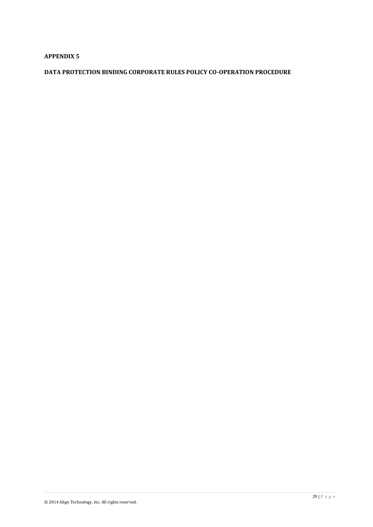# **APPENDIX 5**

# **DATA PROTECTION BINDING CORPORATE RULES POLICY CO-OPERATION PROCEDURE**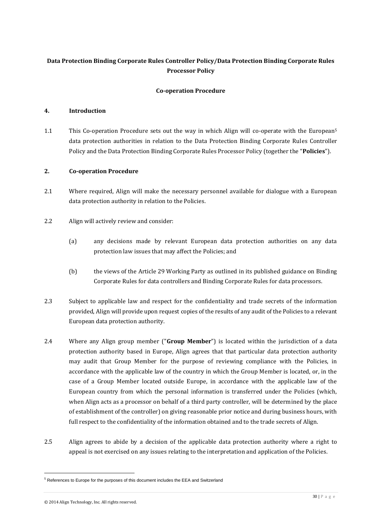# **Data Protection Binding Corporate Rules Controller Policy/Data Protection Binding Corporate Rules Processor Policy**

# **Co-operation Procedure**

### **4. Introduction**

1.1 This Co-operation Procedure sets out the way in which Align will co-operate with the European<sup>5</sup> data protection authorities in relation to the Data Protection Binding Corporate Rules Controller Policy and the Data Protection Binding Corporate Rules Processor Policy (together the "**Policies**").

### **2. Co-operation Procedure**

- 2.1 Where required, Align will make the necessary personnel available for dialogue with a European data protection authority in relation to the Policies.
- 2.2 Align will actively review and consider:
	- (a) any decisions made by relevant European data protection authorities on any data protection law issues that may affect the Policies; and
	- (b) the views of the Article 29 Working Party as outlined in its published guidance on Binding Corporate Rules for data controllers and Binding Corporate Rules for data processors.
- 2.3 Subject to applicable law and respect for the confidentiality and trade secrets of the information provided, Align will provide upon request copies of the results of any audit of the Policies to a relevant European data protection authority.
- 2.4 Where any Align group member ("**Group Member**") is located within the jurisdiction of a data protection authority based in Europe, Align agrees that that particular data protection authority may audit that Group Member for the purpose of reviewing compliance with the Policies, in accordance with the applicable law of the country in which the Group Member is located, or, in the case of a Group Member located outside Europe, in accordance with the applicable law of the European country from which the personal information is transferred under the Policies (which, when Align acts as a processor on behalf of a third party controller, will be determined by the place of establishment of the controller) on giving reasonable prior notice and during business hours, with full respect to the confidentiality of the information obtained and to the trade secrets of Align.
- 2.5 Align agrees to abide by a decision of the applicable data protection authority where a right to appeal is not exercised on any issues relating to the interpretation and application of the Policies.

 $\overline{a}$ 

<sup>5</sup> References to Europe for the purposes of this document includes the EEA and Switzerland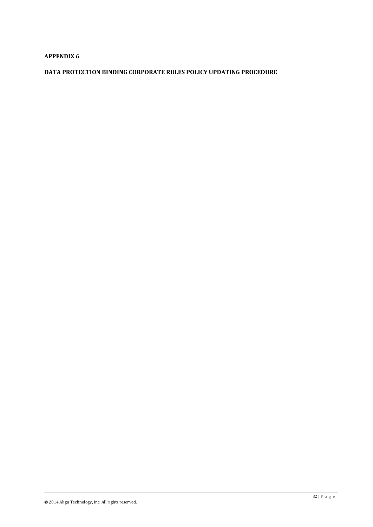# **APPENDIX 6**

# **DATA PROTECTION BINDING CORPORATE RULES POLICY UPDATING PROCEDURE**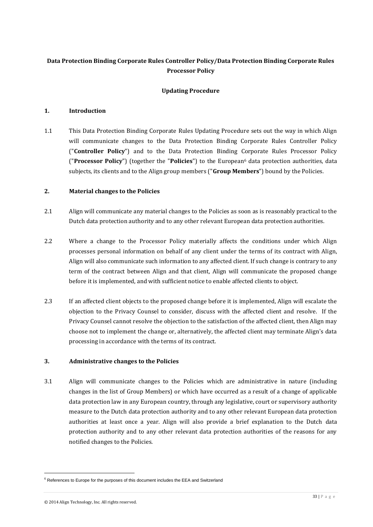# **Data Protection Binding Corporate Rules Controller Policy/Data Protection Binding Corporate Rules Processor Policy**

# **Updating Procedure**

### **1. Introduction**

1.1 This Data Protection Binding Corporate Rules Updating Procedure sets out the way in which Align will communicate changes to the Data Protection Binding Corporate Rules Controller Policy ("**Controller Policy**") and to the Data Protection Binding Corporate Rules Processor Policy ("**Processor Policy**") (together the "**Policies**") to the European<sup>6</sup> data protection authorities, data subjects, its clients and to the Align group members ("**Group Members**") bound by the Policies.

### **2. Material changes to the Policies**

- 2.1 Align will communicate any material changes to the Policies as soon as is reasonably practical to the Dutch data protection authority and to any other relevant European data protection authorities.
- 2.2 Where a change to the Processor Policy materially affects the conditions under which Align processes personal information on behalf of any client under the terms of its contract with Align, Align will also communicate such information to any affected client. If such change is contrary to any term of the contract between Align and that client, Align will communicate the proposed change before it is implemented, and with sufficient notice to enable affected clients to object.
- 2.3 If an affected client objects to the proposed change before it is implemented, Align will escalate the objection to the Privacy Counsel to consider, discuss with the affected client and resolve. If the Privacy Counsel cannot resolve the objection to the satisfaction of the affected client, then Align may choose not to implement the change or, alternatively, the affected client may terminate Align's data processing in accordance with the terms of its contract.

# **3. Administrative changes to the Policies**

3.1 Align will communicate changes to the Policies which are administrative in nature (including changes in the list of Group Members) or which have occurred as a result of a change of applicable data protection law in any European country, through any legislative, court or supervisory authority measure to the Dutch data protection authority and to any other relevant European data protection authorities at least once a year. Align will also provide a brief explanation to the Dutch data protection authority and to any other relevant data protection authorities of the reasons for any notified changes to the Policies.

 $\overline{a}$ 

<sup>&</sup>lt;sup>6</sup> References to Europe for the purposes of this document includes the EEA and Switzerland